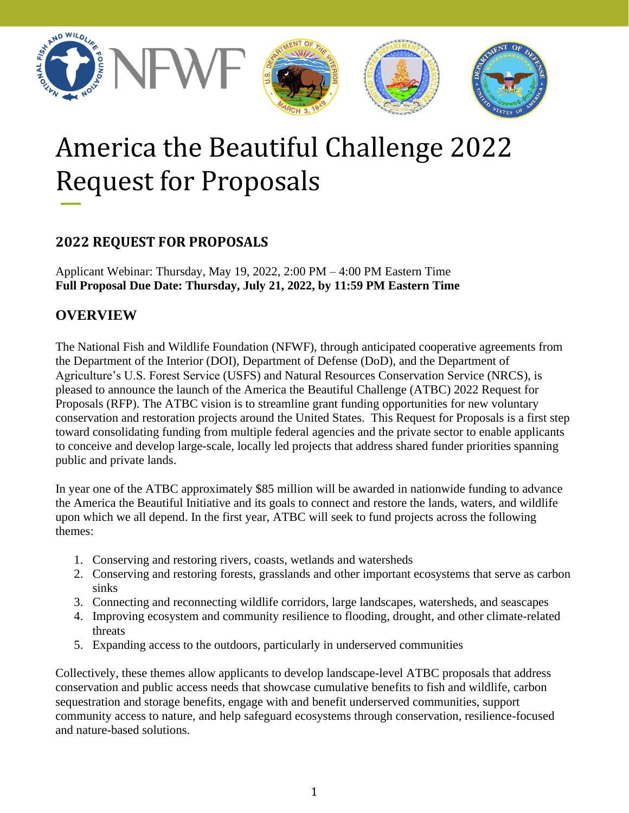

# America the Beautiful Challenge 2022 Request for Proposals

# **2022 REQUEST FOR PROPOSALS**

Applicant Webinar: Thursday, May 19, 2022, 2:00 PM – 4:00 PM Eastern Time **Full Proposal Due Date: Thursday, July 21, 2022, by 11:59 PM Eastern Time**

# **OVERVIEW**

The National Fish and Wildlife Foundation (NFWF), through anticipated cooperative agreements from the Department of the Interior (DOI), Department of Defense (DoD), and the Department of Agriculture's U.S. Forest Service (USFS) and Natural Resources Conservation Service (NRCS), is pleased to announce the launch of the America the Beautiful Challenge (ATBC) 2022 Request for Proposals (RFP). The ATBC vision is to streamline grant funding opportunities for new voluntary conservation and restoration projects around the United States. This Request for Proposals is a first step toward consolidating funding from multiple federal agencies and the private sector to enable applicants to conceive and develop large-scale, locally led projects that address shared funder priorities spanning public and private lands.

In year one of the ATBC approximately \$85 million will be awarded in nationwide funding to advance the America the Beautiful Initiative and its goals to connect and restore the lands, waters, and wildlife upon which we all depend. In the first year, ATBC will seek to fund projects across the following themes:

- 1. Conserving and restoring rivers, coasts, wetlands and watersheds
- 2. Conserving and restoring forests, grasslands and other important ecosystems that serve as carbon sinks
- 3. Connecting and reconnecting wildlife corridors, large landscapes, watersheds, and seascapes
- 4. Improving ecosystem and community resilience to flooding, drought, and other climate-related threats
- 5. Expanding access to the outdoors, particularly in underserved communities

Collectively, these themes allow applicants to develop landscape-level ATBC proposals that address conservation and public access needs that showcase cumulative benefits to fish and wildlife, carbon sequestration and storage benefits, engage with and benefit underserved communities, support community access to nature, and help safeguard ecosystems through conservation, resilience-focused and nature-based solutions.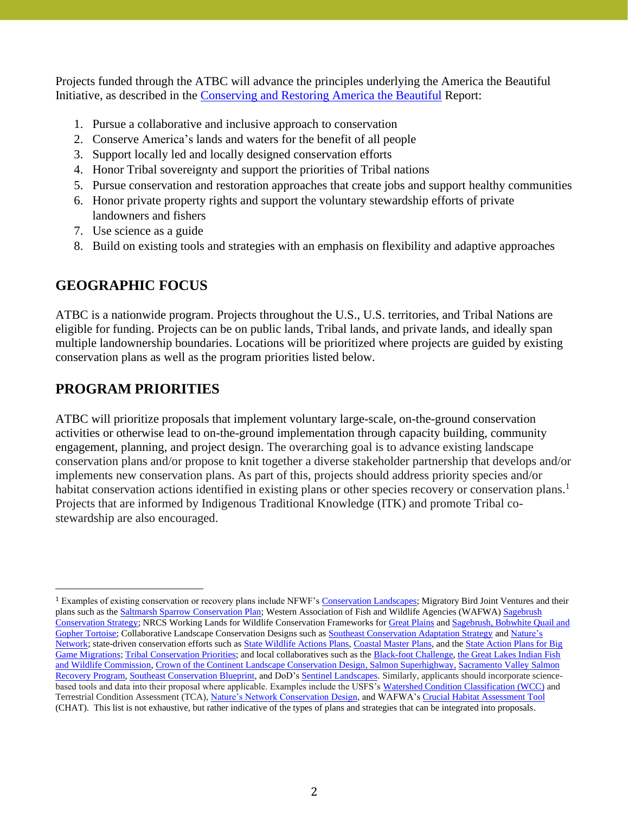Projects funded through the ATBC will advance the principles underlying the America the Beautiful Initiative, as described in the [Conserving and Restoring America the Beautiful](https://www.doi.gov/sites/doi.gov/files/report-conserving-and-restoring-america-the-beautiful-2021.pdf) Report:

- 1. Pursue a collaborative and inclusive approach to conservation
- 2. Conserve America's lands and waters for the benefit of all people
- 3. Support locally led and locally designed conservation efforts
- 4. Honor Tribal sovereignty and support the priorities of Tribal nations
- 5. Pursue conservation and restoration approaches that create jobs and support healthy communities
- 6. Honor private property rights and support the voluntary stewardship efforts of private landowners and fishers
- 7. Use science as a guide
- 8. Build on existing tools and strategies with an emphasis on flexibility and adaptive approaches

# **GEOGRAPHIC FOCUS**

ATBC is a nationwide program. Projects throughout the U.S., U.S. territories, and Tribal Nations are eligible for funding. Projects can be on public lands, Tribal lands, and private lands, and ideally span multiple landownership boundaries. Locations will be prioritized where projects are guided by existing conservation plans as well as the program priorities listed below.

# **PROGRAM PRIORITIES**

ATBC will prioritize proposals that implement voluntary large-scale, on-the-ground conservation activities or otherwise lead to on-the-ground implementation through capacity building, community engagement, planning, and project design. The overarching goal is to advance existing landscape conservation plans and/or propose to knit together a diverse stakeholder partnership that develops and/or implements new conservation plans. As part of this, projects should address priority species and/or habitat conservation actions identified in existing plans or other species recovery or conservation plans.<sup>1</sup> Projects that are informed by Indigenous Traditional Knowledge (ITK) and promote Tribal costewardship are also encouraged.

<sup>1</sup> Examples of existing conservation or recovery plans include NFWF'[s Conservation Landscapes;](https://www.nfwf.org/strategies-results/business-plans) [Migratory Bird Joint Ventures](https://fws.gov/partner/migratory-bird-joint-ventures) and their plans such as the [Saltmarsh Sparrow Conservation Plan;](https://acjv.org/saltmarsh-sparrow-plan/) Western Association of Fish and Wildlife Agencies (WAFWA) [Sagebrush](https://wafwa.org/sagebrush-conservation-strategy/)  [Conservation Strategy;](https://wafwa.org/sagebrush-conservation-strategy/) NRCS Working Lands for Wildlife Conservation Frameworks fo[r Great Plains](https://www.wlfw.org/assets/greatPlainsFramework.pd) an[d Sagebrush,](https://www.wlfw.org/assets/sagebrushFramework.pdf) Bobwhite Quail and Gopher Tortoise; Collaborative Landscape Conservation Designs such as [Southeast Conservation Adaptation Strategy](http://secassoutheast.org/) an[d Nature's](http://www.naturesnetwork.org/data-tools/landscape-conservation-design/)  [Network;](http://www.naturesnetwork.org/data-tools/landscape-conservation-design/) state-driven conservation efforts such as **State Wildlife Actions Plans**, [Coastal Master Plans,](https://coastal.la.gov/our-plan/2023-coastal-master-plan/) and the State Action Plans for Big [Game Migrations;](https://www.nfwf.org/programs/rocky-mountain-rangelands/improving-habitat-quality-western-big-game-migration-corridors-and-habitat-connectivity/state-action-plans) [Tribal Conservation Priorities;](https://www.nafws.org/) and local collaboratives such as th[e Black-foot Challenge,](https://blackfootchallenge.org/) [the Great Lakes Indian Fish](http://glifwc.org/)  [and Wildlife Commission,](http://glifwc.org/) [Crown of the Continent Landscape Conservation Design,](https://www.crownmanagers.org/landscape-conservation-design) [Salmon Superhighway,](http://www.salmonsuperhwy.org/) [Sacramento Valley Salmon](http://sacramentovalley.org/home/salmon/)  [Recovery Program,](http://sacramentovalley.org/home/salmon/) [Southeast Conservation Blueprint,](https://secassoutheast.org/blueprint) and DoD'[s Sentinel Landscapes.](https://sentinellandscapes.org/) Similarly, applicants should incorporate sciencebased tools and data into their proposal where applicable. Examples include the USFS's [Watershed Condition Classification \(WCC\)](https://www.fs.fed.us/biology/resources/pubs/watershed/maps/watershed_classification_guide2011FS978.pdf) and Terrestrial Condition Assessment (TCA), [Nature's Network Conservation Design,](http://www.naturesnetwork.org/data-tools/landscape-conservation-design/) and WAFWA'[s Crucial Habitat Assessment Tool](https://wafwa.org/initiatives/chat/) (CHAT). This list is not exhaustive, but rather indicative of the types of plans and strategies that can be integrated into proposals.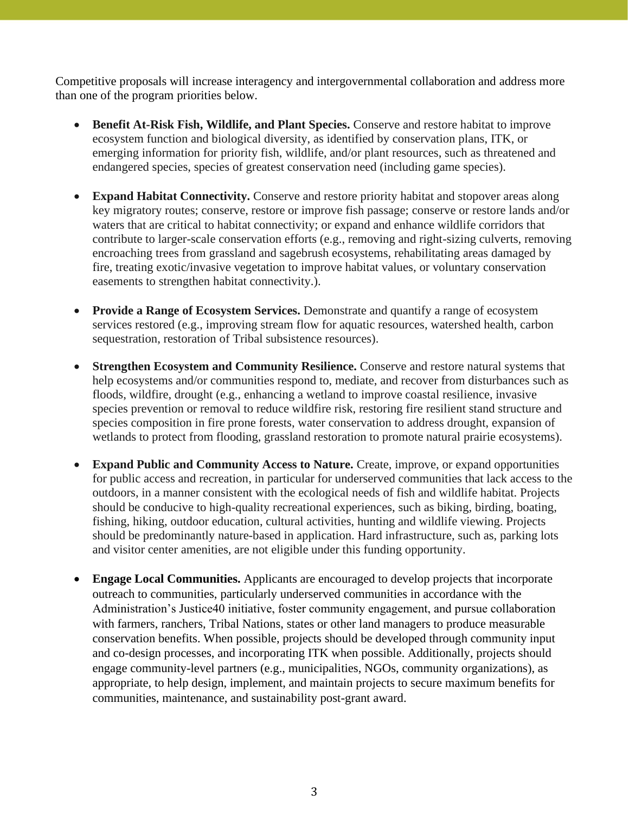Competitive proposals will increase interagency and intergovernmental collaboration and address more than one of the program priorities below.

- **Benefit At-Risk Fish, Wildlife, and Plant Species.** Conserve and restore habitat to improve ecosystem function and biological diversity, as identified by conservation plans, ITK, or emerging information for priority fish, wildlife, and/or plant resources, such as threatened and endangered species, species of greatest conservation need (including game species).
- **Expand Habitat Connectivity.** Conserve and restore priority habitat and stopover areas along key migratory routes; conserve, restore or improve fish passage; conserve or restore lands and/or waters that are critical to habitat connectivity; or expand and enhance wildlife corridors that contribute to larger-scale conservation efforts (e.g., removing and right-sizing culverts, removing encroaching trees from grassland and sagebrush ecosystems, rehabilitating areas damaged by fire, treating exotic/invasive vegetation to improve habitat values, or voluntary conservation easements to strengthen habitat connectivity.).
- **Provide a Range of Ecosystem Services.** Demonstrate and quantify a range of ecosystem services restored (e.g., improving stream flow for aquatic resources, watershed health, carbon sequestration, restoration of Tribal subsistence resources).
- **Strengthen Ecosystem and Community Resilience.** Conserve and restore natural systems that help ecosystems and/or communities respond to, mediate, and recover from disturbances such as floods, wildfire, drought (e.g., enhancing a wetland to improve coastal resilience, invasive species prevention or removal to reduce wildfire risk, restoring fire resilient stand structure and species composition in fire prone forests, water conservation to address drought, expansion of wetlands to protect from flooding, grassland restoration to promote natural prairie ecosystems).
- **Expand Public and Community Access to Nature.** Create, improve, or expand opportunities for public access and recreation, in particular for underserved communities that lack access to the outdoors, in a manner consistent with the ecological needs of fish and wildlife habitat. Projects should be conducive to high-quality recreational experiences, such as biking, birding, boating, fishing, hiking, outdoor education, cultural activities, hunting and wildlife viewing. Projects should be predominantly nature-based in application. Hard infrastructure, such as, parking lots and visitor center amenities, are not eligible under this funding opportunity.
- **Engage Local Communities.** Applicants are encouraged to develop projects that incorporate outreach to communities, particularly underserved communities in accordance with the Administration's Justice40 initiative, foster community engagement, and pursue collaboration with farmers, ranchers, Tribal Nations, states or other land managers to produce measurable conservation benefits. When possible, projects should be developed through community input and co-design processes, and incorporating ITK when possible. Additionally, projects should engage community-level partners (e.g., municipalities, NGOs, community organizations), as appropriate, to help design, implement, and maintain projects to secure maximum benefits for communities, maintenance, and sustainability post-grant award.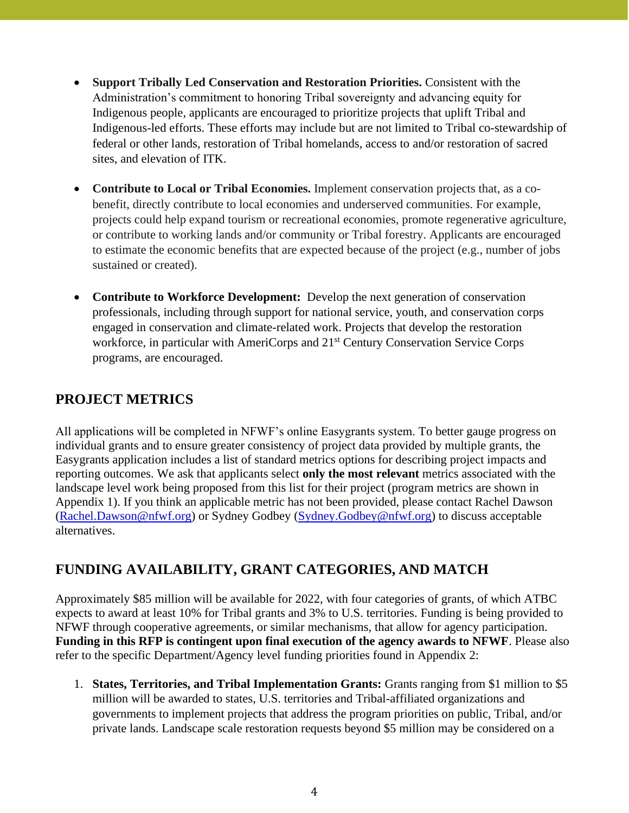- **Support Tribally Led Conservation and Restoration Priorities.** Consistent with the Administration's commitment to honoring Tribal sovereignty and advancing equity for Indigenous people, applicants are encouraged to prioritize projects that uplift Tribal and Indigenous-led efforts. These efforts may include but are not limited to Tribal co-stewardship of federal or other lands, restoration of Tribal homelands, access to and/or restoration of sacred sites, and elevation of ITK.
- **Contribute to Local or Tribal Economies.** Implement conservation projects that, as a cobenefit, directly contribute to local economies and underserved communities. For example, projects could help expand tourism or recreational economies, promote regenerative agriculture, or contribute to working lands and/or community or Tribal forestry. Applicants are encouraged to estimate the economic benefits that are expected because of the project (e.g., number of jobs sustained or created).
- **Contribute to Workforce Development:** Develop the next generation of conservation professionals, including through support for national service, youth, and conservation corps engaged in conservation and climate-related work. Projects that develop the restoration workforce, in particular with AmeriCorps and 21<sup>st</sup> Century Conservation Service Corps programs, are encouraged.

# **PROJECT METRICS**

All applications will be completed in NFWF's online Easygrants system. To better gauge progress on individual grants and to ensure greater consistency of project data provided by multiple grants, the Easygrants application includes a list of standard metrics options for describing project impacts and reporting outcomes. We ask that applicants select **only the most relevant** metrics associated with the landscape level work being proposed from this list for their project (program metrics are shown in Appendix 1). If you think an applicable metric has not been provided, please contact Rachel Dawson [\(Rachel.Dawson@nfwf.org\)](mailto:Rachel.Dawson@nfwf.org) or Sydney Godbey [\(Sydney.Godbey@nfwf.org\)](mailto:Sydney.Godbey@nfwf.org) to discuss acceptable alternatives.

## **FUNDING AVAILABILITY, GRANT CATEGORIES, AND MATCH**

Approximately \$85 million will be available for 2022, with four categories of grants, of which ATBC expects to award at least 10% for Tribal grants and 3% to U.S. territories. Funding is being provided to NFWF through cooperative agreements, or similar mechanisms, that allow for agency participation. **Funding in this RFP is contingent upon final execution of the agency awards to NFWF**. Please also refer to the specific Department/Agency level funding priorities found in Appendix 2:

1. **States, Territories, and Tribal Implementation Grants:** Grants ranging from \$1 million to \$5 million will be awarded to states, U.S. territories and Tribal-affiliated organizations and governments to implement projects that address the program priorities on public, Tribal, and/or private lands. Landscape scale restoration requests beyond \$5 million may be considered on a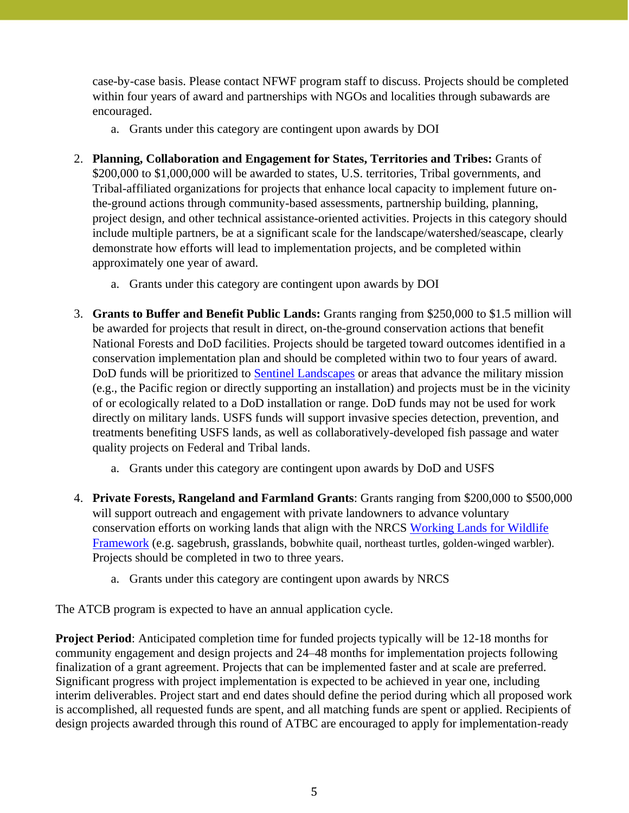case-by-case basis. Please contact NFWF program staff to discuss. Projects should be completed within four years of award and partnerships with NGOs and localities through subawards are encouraged.

- a. Grants under this category are contingent upon awards by DOI
- 2. **Planning, Collaboration and Engagement for States, Territories and Tribes:** Grants of \$200,000 to \$1,000,000 will be awarded to states, U.S. territories, Tribal governments, and Tribal-affiliated organizations for projects that enhance local capacity to implement future onthe-ground actions through community-based assessments, partnership building, planning, project design, and other technical assistance-oriented activities. Projects in this category should include multiple partners, be at a significant scale for the landscape/watershed/seascape, clearly demonstrate how efforts will lead to implementation projects, and be completed within approximately one year of award.
	- a. Grants under this category are contingent upon awards by DOI
- 3. **Grants to Buffer and Benefit Public Lands:** Grants ranging from \$250,000 to \$1.5 million will be awarded for projects that result in direct, on-the-ground conservation actions that benefit National Forests and DoD facilities. Projects should be targeted toward outcomes identified in a conservation implementation plan and should be completed within two to four years of award. DoD funds will be prioritized to [Sentinel Landscapes](https://sentinellandscapes.org/) or areas that advance the military mission (e.g., the Pacific region or directly supporting an installation) and projects must be in the vicinity of or ecologically related to a DoD installation or range. DoD funds may not be used for work directly on military lands. USFS funds will support invasive species detection, prevention, and treatments benefiting USFS lands, as well as collaboratively-developed fish passage and water quality projects on Federal and Tribal lands.
	- a. Grants under this category are contingent upon awards by DoD and USFS
- 4. **Private Forests, Rangeland and Farmland Grants**: Grants ranging from \$200,000 to \$500,000 will support outreach and engagement with private landowners to advance voluntary conservation efforts on working lands that align with the NRCS [Working Lands for Wildlife](https://www.wlfw.org/)  [Framework](https://www.wlfw.org/) (e.g. sagebrush, grasslands, bobwhite quail, northeast turtles, golden-winged warbler). Projects should be completed in two to three years.
	- a. Grants under this category are contingent upon awards by NRCS

The ATCB program is expected to have an annual application cycle.

**Project Period**: Anticipated completion time for funded projects typically will be 12-18 months for community engagement and design projects and 24–48 months for implementation projects following finalization of a grant agreement. Projects that can be implemented faster and at scale are preferred. Significant progress with project implementation is expected to be achieved in year one, including interim deliverables. Project start and end dates should define the period during which all proposed work is accomplished, all requested funds are spent, and all matching funds are spent or applied. Recipients of design projects awarded through this round of ATBC are encouraged to apply for implementation-ready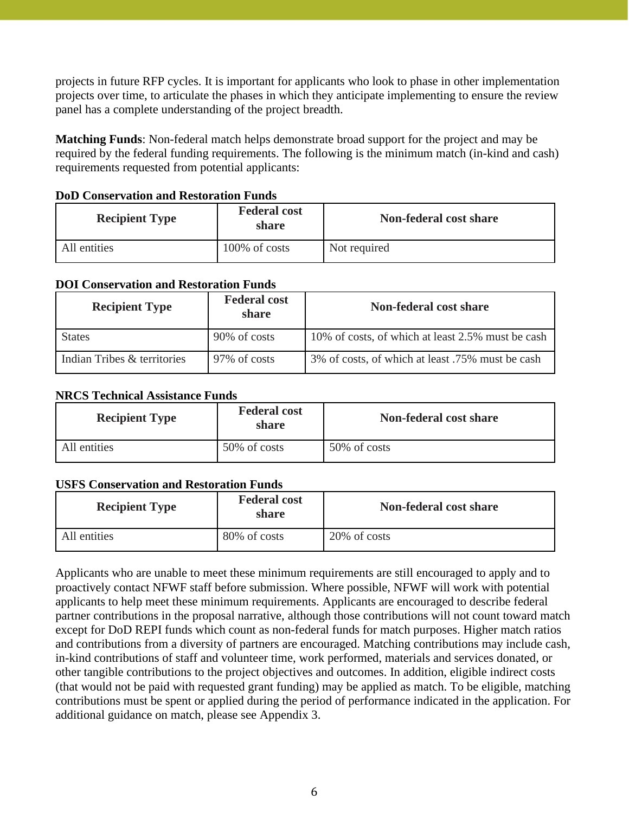projects in future RFP cycles. It is important for applicants who look to phase in other implementation projects over time, to articulate the phases in which they anticipate implementing to ensure the review panel has a complete understanding of the project breadth.

**Matching Funds**: Non-federal match helps demonstrate broad support for the project and may be required by the federal funding requirements. The following is the minimum match (in-kind and cash) requirements requested from potential applicants:

| <b>Recipient Type</b> | <b>Federal cost</b><br>share | Non-federal cost share |
|-----------------------|------------------------------|------------------------|
| All entities          | 100% of costs                | Not required           |

#### **DoD Conservation and Restoration Funds**

#### **DOI Conservation and Restoration Funds**

| <b>Recipient Type</b>       | <b>Federal cost</b><br>share | <b>Non-federal cost share</b>                     |
|-----------------------------|------------------------------|---------------------------------------------------|
| <b>States</b>               | 90% of costs                 | 10% of costs, of which at least 2.5% must be cash |
| Indian Tribes & territories | 97% of costs                 | 3% of costs, of which at least .75% must be cash  |

## **NRCS Technical Assistance Funds**

| <b>Federal cost</b><br><b>Recipient Type</b><br>share |              | Non-federal cost share |
|-------------------------------------------------------|--------------|------------------------|
| All entities                                          | 50% of costs | 50% of costs           |

#### **USFS Conservation and Restoration Funds**

| <b>Recipient Type</b> | <b>Federal cost</b><br>share | Non-federal cost share |
|-----------------------|------------------------------|------------------------|
| All entities          | 80% of costs                 | 20% of costs           |

Applicants who are unable to meet these minimum requirements are still encouraged to apply and to proactively contact NFWF staff before submission. Where possible, NFWF will work with potential applicants to help meet these minimum requirements. Applicants are encouraged to describe federal partner contributions in the proposal narrative, although those contributions will not count toward match except for DoD REPI funds which count as non-federal funds for match purposes. Higher match ratios and contributions from a diversity of partners are encouraged. Matching contributions may include cash, in-kind contributions of staff and volunteer time, work performed, materials and services donated, or other tangible contributions to the project objectives and outcomes. In addition, eligible indirect costs (that would not be paid with requested grant funding) may be applied as match. To be eligible, matching contributions must be spent or applied during the period of performance indicated in the application. For additional guidance on match, please see Appendix 3.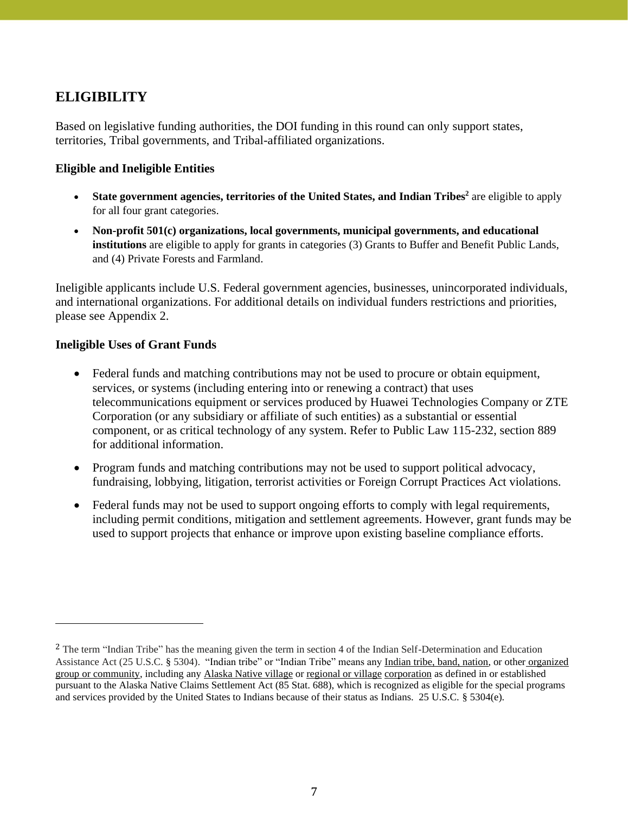# **ELIGIBILITY**

Based on legislative funding authorities, the DOI funding in this round can only support states, territories, Tribal governments, and Tribal-affiliated organizations.

## **Eligible and Ineligible Entities**

- State government agencies, territories of the United States, and Indian Tribes<sup>2</sup> are eligible to apply for all four grant categories.
- **Non-profit 501(c) organizations, local governments, municipal governments, and educational institutions** are eligible to apply for grants in categories (3) Grants to Buffer and Benefit Public Lands, and (4) Private Forests and Farmland.

Ineligible applicants include U.S. Federal government agencies, businesses, unincorporated individuals, and international organizations. For additional details on individual funders restrictions and priorities, please see Appendix 2.

## **Ineligible Uses of Grant Funds**

- Federal funds and matching contributions may not be used to procure or obtain equipment, services, or systems (including entering into or renewing a contract) that uses telecommunications equipment or services produced by Huawei Technologies Company or ZTE Corporation (or any subsidiary or affiliate of such entities) as a substantial or essential component, or as critical technology of any system. Refer to Public Law 115-232, section 889 for additional information.
- Program funds and matching contributions may not be used to support political advocacy, fundraising, lobbying, litigation, terrorist activities or Foreign Corrupt Practices Act violations.
- Federal funds may not be used to support ongoing efforts to comply with legal requirements, including permit conditions, mitigation and settlement agreements. However, grant funds may be used to support projects that enhance or improve upon existing baseline compliance efforts.

<sup>&</sup>lt;sup>2</sup> The term "Indian Tribe" has the meaning given the term in section 4 of the Indian Self-Determination and Education Assistance Act (25 U.S.C. § 5304). "Indian tribe" or "Indian Tribe" means any Indian tribe, band, nation, or other organized group or community, including any Alaska Native village or regional or village corporation as defined in or established pursuant to the Alaska Native Claims Settlement Act (85 Stat. 688), which is recognized as eligible for the special programs and services provided by the United States to Indians because of their status as Indians. 25 U.S.C. § 5304(e).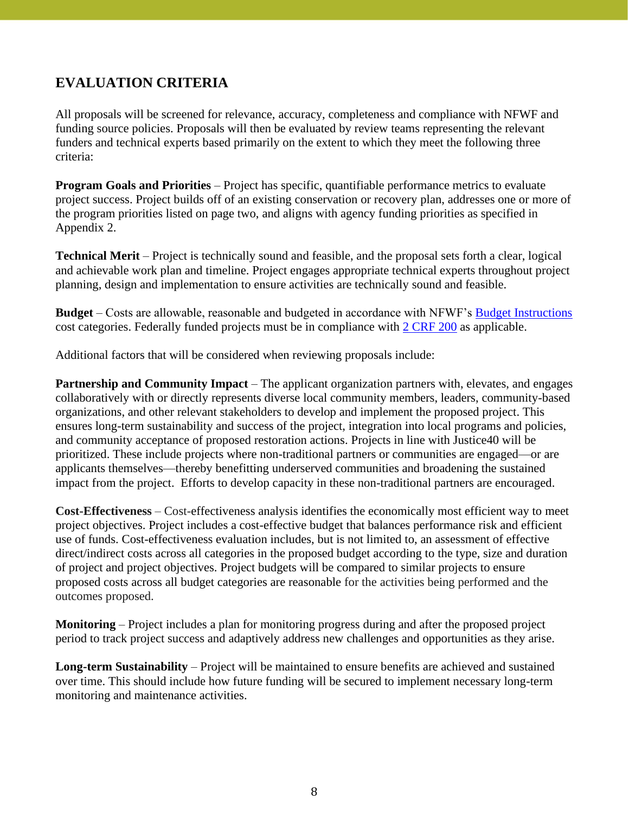# **EVALUATION CRITERIA**

All proposals will be screened for relevance, accuracy, completeness and compliance with NFWF and funding source policies. Proposals will then be evaluated by review teams representing the relevant funders and technical experts based primarily on the extent to which they meet the following three criteria:

**Program Goals and Priorities** – Project has specific, quantifiable performance metrics to evaluate project success. Project builds off of an existing conservation or recovery plan, addresses one or more of the program priorities listed on page two, and aligns with agency funding priorities as specified in Appendix 2.

**Technical Merit** – Project is technically sound and feasible, and the proposal sets forth a clear, logical and achievable work plan and timeline. Project engages appropriate technical experts throughout project planning, design and implementation to ensure activities are technically sound and feasible.

**Budget** – Costs are allowable, reasonable and budgeted in accordance with NFWF's [Budget Instructions](https://www.nfwf.org/apply-grant/application-information/budget-instructions) cost categories. Federally funded projects must be in compliance with 2 [CRF](https://www.ecfr.gov/current/title-2/subtitle-A/chapter-II/part-200) 200 as applicable.

Additional factors that will be considered when reviewing proposals include:

**Partnership and Community Impact** – The applicant organization partners with, elevates, and engages collaboratively with or directly represents diverse local community members, leaders, community-based organizations, and other relevant stakeholders to develop and implement the proposed project. This ensures long-term sustainability and success of the project, integration into local programs and policies, and community acceptance of proposed restoration actions. Projects in line with Justice40 will be prioritized. These include projects where non-traditional partners or communities are engaged—or are applicants themselves—thereby benefitting underserved communities and broadening the sustained impact from the project. Efforts to develop capacity in these non-traditional partners are encouraged.

**Cost-Effectiveness** – Cost-effectiveness analysis identifies the economically most efficient way to meet project objectives. Project includes a cost-effective budget that balances performance risk and efficient use of funds. Cost-effectiveness evaluation includes, but is not limited to, an assessment of effective direct/indirect costs across all categories in the proposed budget according to the type, size and duration of project and project objectives. Project budgets will be compared to similar projects to ensure proposed costs across all budget categories are reasonable for the activities being performed and the outcomes proposed.

**Monitoring** – Project includes a plan for monitoring progress during and after the proposed project period to track project success and adaptively address new challenges and opportunities as they arise.

**Long-term Sustainability** – Project will be maintained to ensure benefits are achieved and sustained over time. This should include how future funding will be secured to implement necessary long-term monitoring and maintenance activities.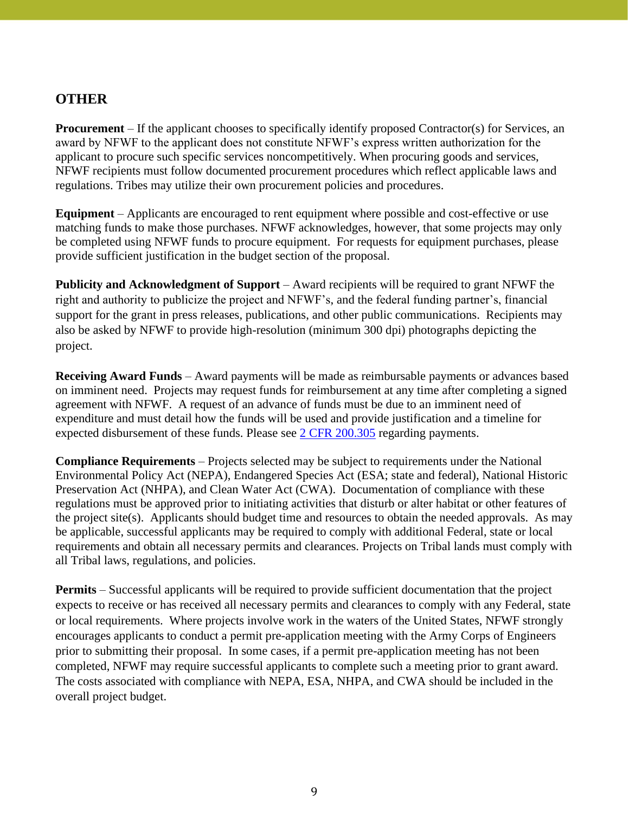## **OTHER**

**Procurement** – If the applicant chooses to specifically identify proposed Contractor(s) for Services, an award by NFWF to the applicant does not constitute NFWF's express written authorization for the applicant to procure such specific services noncompetitively. When procuring goods and services, NFWF recipients must follow documented procurement procedures which reflect applicable laws and regulations. Tribes may utilize their own procurement policies and procedures.

**Equipment** – Applicants are encouraged to rent equipment where possible and cost-effective or use matching funds to make those purchases. NFWF acknowledges, however, that some projects may only be completed using NFWF funds to procure equipment. For requests for equipment purchases, please provide sufficient justification in the budget section of the proposal.

**Publicity and Acknowledgment of Support** – Award recipients will be required to grant NFWF the right and authority to publicize the project and NFWF's, and the federal funding partner's, financial support for the grant in press releases, publications, and other public communications. Recipients may also be asked by NFWF to provide high-resolution (minimum 300 dpi) photographs depicting the project.

**Receiving Award Funds** – Award payments will be made as reimbursable payments or advances based on imminent need. Projects may request funds for reimbursement at any time after completing a signed agreement with NFWF. A request of an advance of funds must be due to an imminent need of expenditure and must detail how the funds will be used and provide justification and a timeline for expected disbursement of these funds. Please see [2 CFR 200.305](https://www.ecfr.gov/current/title-2/subtitle-A/chapter-II/part-200/subpart-D/section-200.305) regarding payments.

**Compliance Requirements** – Projects selected may be subject to requirements under the National Environmental Policy Act (NEPA), Endangered Species Act (ESA; state and federal), National Historic Preservation Act (NHPA), and Clean Water Act (CWA). Documentation of compliance with these regulations must be approved prior to initiating activities that disturb or alter habitat or other features of the project site(s). Applicants should budget time and resources to obtain the needed approvals. As may be applicable, successful applicants may be required to comply with additional Federal, state or local requirements and obtain all necessary permits and clearances. Projects on Tribal lands must comply with all Tribal laws, regulations, and policies.

**Permits** – Successful applicants will be required to provide sufficient documentation that the project expects to receive or has received all necessary permits and clearances to comply with any Federal, state or local requirements. Where projects involve work in the waters of the United States, NFWF strongly encourages applicants to conduct a permit pre-application meeting with the Army Corps of Engineers prior to submitting their proposal. In some cases, if a permit pre-application meeting has not been completed, NFWF may require successful applicants to complete such a meeting prior to grant award. The costs associated with compliance with NEPA, ESA, NHPA, and CWA should be included in the overall project budget.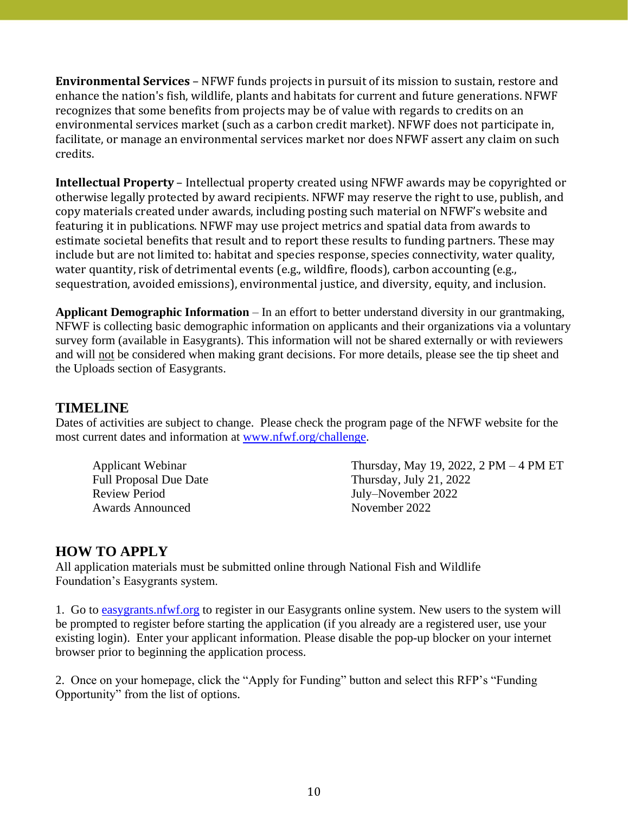**Environmental Services** – NFWF funds projects in pursuit of its mission to sustain, restore and enhance the nation's fish, wildlife, plants and habitats for current and future generations. NFWF recognizes that some benefits from projects may be of value with regards to credits on an environmental services market (such as a carbon credit market). NFWF does not participate in, facilitate, or manage an environmental services market nor does NFWF assert any claim on such credits.

**Intellectual Property** – Intellectual property created using NFWF awards may be copyrighted or otherwise legally protected by award recipients. NFWF may reserve the right to use, publish, and copy materials created under awards, including posting such material on NFWF's website and featuring it in publications. NFWF may use project metrics and spatial data from awards to estimate societal benefits that result and to report these results to funding partners. These may include but are not limited to: habitat and species response, species connectivity, water quality, water quantity, risk of detrimental events (e.g., wildfire, floods), carbon accounting (e.g., sequestration, avoided emissions), environmental justice, and diversity, equity, and inclusion.

**Applicant Demographic Information** – In an effort to better understand diversity in our grantmaking, NFWF is collecting basic demographic information on applicants and their organizations via a voluntary survey form (available in Easygrants). This information will not be shared externally or with reviewers and will not be considered when making grant decisions. For more details, please see the tip sheet and the Uploads section of Easygrants.

## **TIMELINE**

Dates of activities are subject to change. Please check the program page of the NFWF website for the most current dates and information at [www.nfwf.org/challenge.](http://www.nfwf.org/challenge)

Review Period July–November 2022 Awards Announced November 2022

Applicant Webinar Thursday, May 19, 2022, 2 PM – 4 PM ET Full Proposal Due Date Thursday, July 21, 2022

## **HOW TO APPLY**

All application materials must be submitted online through National Fish and Wildlife Foundation's Easygrants system.

1. Go to [easygrants.nfwf.org](https://easygrants.nfwf.org/) to register in our Easygrants online system. New users to the system will be prompted to register before starting the application (if you already are a registered user, use your existing login). Enter your applicant information. Please disable the pop-up blocker on your internet browser prior to beginning the application process.

2. Once on your homepage, click the "Apply for Funding" button and select this RFP's "Funding Opportunity" from the list of options.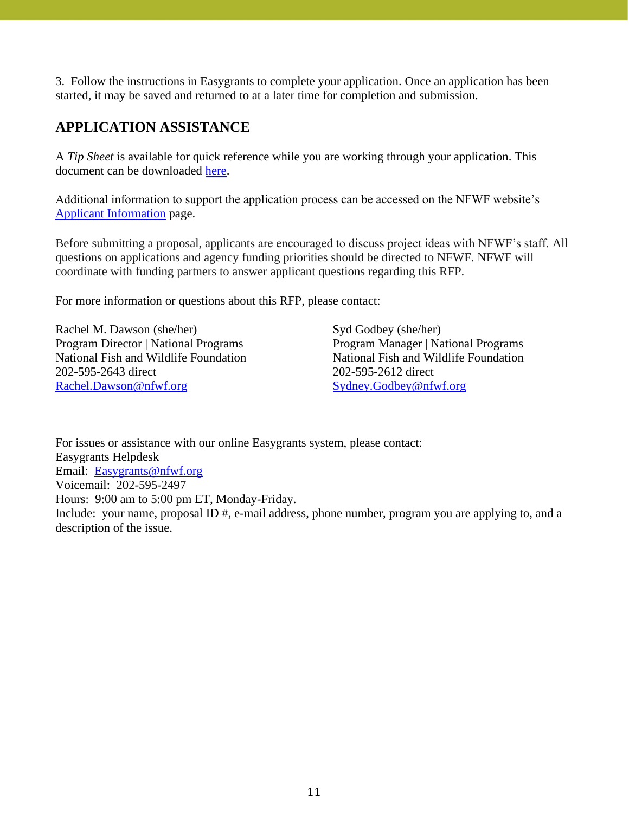3. Follow the instructions in Easygrants to complete your application. Once an application has been started, it may be saved and returned to at a later time for completion and submission.

# **APPLICATION ASSISTANCE**

A *Tip Sheet* is available for quick reference while you are working through your application. This document can be downloaded [here.](https://www.nfwf.org/sites/default/files/2022-05/atbc-2022-tip-sheet.pdf)

Additional information to support the application process can be accessed on the NFWF website's [Applicant Information](https://www.nfwf.org/apply-grant/application-information/budget-instructions) page.

Before submitting a proposal, applicants are encouraged to discuss project ideas with NFWF's staff. All questions on applications and agency funding priorities should be directed to NFWF. NFWF will coordinate with funding partners to answer applicant questions regarding this RFP.

For more information or questions about this RFP, please contact:

Rachel M. Dawson (she/her) Program Director | National Programs National Fish and Wildlife Foundation 202-595-2643 direct [Rachel.Dawson@nfwf.org](mailto:Rachel.Dawson@nfwf.org)

Syd Godbey (she/her) Program Manager | National Programs National Fish and Wildlife Foundation 202-595-2612 direct [Sydney.Godbey@nfwf.org](mailto:Sydney.Godbey@nfwf.org)

For issues or assistance with our online Easygrants system, please contact: Easygrants Helpdesk Email: [Easygrants@nfwf.org](mailto:Easygrants@nfwf.org) Voicemail: 202-595-2497 Hours: 9:00 am to 5:00 pm ET, Monday-Friday. Include: your name, proposal ID #, e-mail address, phone number, program you are applying to, and a description of the issue.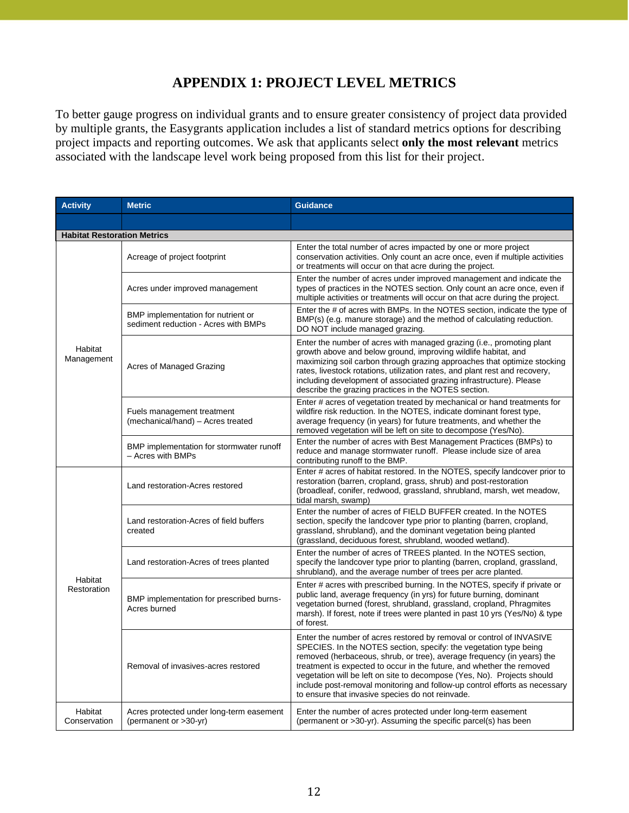# **APPENDIX 1: PROJECT LEVEL METRICS**

To better gauge progress on individual grants and to ensure greater consistency of project data provided by multiple grants, the Easygrants application includes a list of standard metrics options for describing project impacts and reporting outcomes. We ask that applicants select **only the most relevant** metrics associated with the landscape level work being proposed from this list for their project.

| <b>Activity</b>                    | <b>Metric</b>                                                              | <b>Guidance</b>                                                                                                                                                                                                                                                                                                                                                                                                                                                                                           |
|------------------------------------|----------------------------------------------------------------------------|-----------------------------------------------------------------------------------------------------------------------------------------------------------------------------------------------------------------------------------------------------------------------------------------------------------------------------------------------------------------------------------------------------------------------------------------------------------------------------------------------------------|
|                                    |                                                                            |                                                                                                                                                                                                                                                                                                                                                                                                                                                                                                           |
| <b>Habitat Restoration Metrics</b> |                                                                            |                                                                                                                                                                                                                                                                                                                                                                                                                                                                                                           |
|                                    | Acreage of project footprint                                               | Enter the total number of acres impacted by one or more project<br>conservation activities. Only count an acre once, even if multiple activities<br>or treatments will occur on that acre during the project.                                                                                                                                                                                                                                                                                             |
|                                    | Acres under improved management                                            | Enter the number of acres under improved management and indicate the<br>types of practices in the NOTES section. Only count an acre once, even if<br>multiple activities or treatments will occur on that acre during the project.                                                                                                                                                                                                                                                                        |
|                                    | BMP implementation for nutrient or<br>sediment reduction - Acres with BMPs | Enter the # of acres with BMPs. In the NOTES section, indicate the type of<br>BMP(s) (e.g. manure storage) and the method of calculating reduction.<br>DO NOT include managed grazing.                                                                                                                                                                                                                                                                                                                    |
| Habitat<br>Management              | Acres of Managed Grazing                                                   | Enter the number of acres with managed grazing (i.e., promoting plant<br>growth above and below ground, improving wildlife habitat, and<br>maximizing soil carbon through grazing approaches that optimize stocking<br>rates, livestock rotations, utilization rates, and plant rest and recovery,<br>including development of associated grazing infrastructure). Please<br>describe the grazing practices in the NOTES section.                                                                         |
|                                    | Fuels management treatment<br>(mechanical/hand) - Acres treated            | Enter # acres of vegetation treated by mechanical or hand treatments for<br>wildfire risk reduction. In the NOTES, indicate dominant forest type,<br>average frequency (in years) for future treatments, and whether the<br>removed vegetation will be left on site to decompose (Yes/No).                                                                                                                                                                                                                |
|                                    | BMP implementation for stormwater runoff<br>- Acres with BMPs              | Enter the number of acres with Best Management Practices (BMPs) to<br>reduce and manage stormwater runoff. Please include size of area<br>contributing runoff to the BMP.                                                                                                                                                                                                                                                                                                                                 |
|                                    | Land restoration-Acres restored                                            | Enter # acres of habitat restored. In the NOTES, specify landcover prior to<br>restoration (barren, cropland, grass, shrub) and post-restoration<br>(broadleaf, conifer, redwood, grassland, shrubland, marsh, wet meadow,<br>tidal marsh, swamp)                                                                                                                                                                                                                                                         |
|                                    | Land restoration-Acres of field buffers<br>created                         | Enter the number of acres of FIELD BUFFER created. In the NOTES<br>section, specify the landcover type prior to planting (barren, cropland,<br>grassland, shrubland), and the dominant vegetation being planted<br>(grassland, deciduous forest, shrubland, wooded wetland).                                                                                                                                                                                                                              |
|                                    | Land restoration-Acres of trees planted                                    | Enter the number of acres of TREES planted. In the NOTES section,<br>specify the landcover type prior to planting (barren, cropland, grassland,<br>shrubland), and the average number of trees per acre planted.                                                                                                                                                                                                                                                                                          |
| Habitat<br>Restoration             | BMP implementation for prescribed burns-<br>Acres burned                   | Enter # acres with prescribed burning. In the NOTES, specify if private or<br>public land, average frequency (in yrs) for future burning, dominant<br>vegetation burned (forest, shrubland, grassland, cropland, Phragmites<br>marsh). If forest, note if trees were planted in past 10 yrs (Yes/No) & type<br>of forest.                                                                                                                                                                                 |
|                                    | Removal of invasives-acres restored                                        | Enter the number of acres restored by removal or control of INVASIVE<br>SPECIES. In the NOTES section, specify: the vegetation type being<br>removed (herbaceous, shrub, or tree), average frequency (in years) the<br>treatment is expected to occur in the future, and whether the removed<br>vegetation will be left on site to decompose (Yes, No). Projects should<br>include post-removal monitoring and follow-up control efforts as necessary<br>to ensure that invasive species do not reinvade. |
| Habitat<br>Conservation            | Acres protected under long-term easement<br>(permanent or >30-yr)          | Enter the number of acres protected under long-term easement<br>(permanent or >30-yr). Assuming the specific parcel(s) has been                                                                                                                                                                                                                                                                                                                                                                           |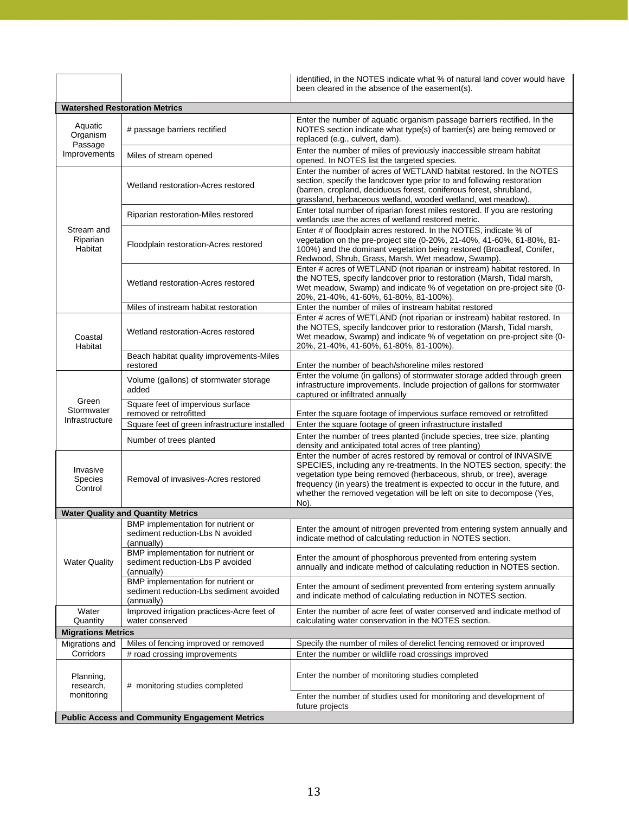|                                                       |                                                                                             | identified, in the NOTES indicate what % of natural land cover would have<br>been cleared in the absence of the easement(s).                                                                                                                                                                                                                                                            |
|-------------------------------------------------------|---------------------------------------------------------------------------------------------|-----------------------------------------------------------------------------------------------------------------------------------------------------------------------------------------------------------------------------------------------------------------------------------------------------------------------------------------------------------------------------------------|
|                                                       | <b>Watershed Restoration Metrics</b>                                                        |                                                                                                                                                                                                                                                                                                                                                                                         |
| Aquatic<br>Organism<br>Passage                        | # passage barriers rectified                                                                | Enter the number of aquatic organism passage barriers rectified. In the<br>NOTES section indicate what type(s) of barrier(s) are being removed or<br>replaced (e.g., culvert, dam).                                                                                                                                                                                                     |
| Improvements                                          | Miles of stream opened                                                                      | Enter the number of miles of previously inaccessible stream habitat<br>opened. In NOTES list the targeted species.                                                                                                                                                                                                                                                                      |
|                                                       | Wetland restoration-Acres restored                                                          | Enter the number of acres of WETLAND habitat restored. In the NOTES<br>section, specify the landcover type prior to and following restoration<br>(barren, cropland, deciduous forest, coniferous forest, shrubland,<br>grassland, herbaceous wetland, wooded wetland, wet meadow).                                                                                                      |
|                                                       | Riparian restoration-Miles restored                                                         | Enter total number of riparian forest miles restored. If you are restoring<br>wetlands use the acres of wetland restored metric.                                                                                                                                                                                                                                                        |
| Stream and<br>Riparian<br>Habitat                     | Floodplain restoration-Acres restored                                                       | Enter # of floodplain acres restored. In the NOTES, indicate % of<br>vegetation on the pre-project site (0-20%, 21-40%, 41-60%, 61-80%, 81-<br>100%) and the dominant vegetation being restored (Broadleaf, Conifer,<br>Redwood, Shrub, Grass, Marsh, Wet meadow, Swamp).                                                                                                               |
|                                                       | Wetland restoration-Acres restored                                                          | Enter # acres of WETLAND (not riparian or instream) habitat restored. In<br>the NOTES, specify landcover prior to restoration (Marsh, Tidal marsh,<br>Wet meadow, Swamp) and indicate % of vegetation on pre-project site (0-<br>20%, 21-40%, 41-60%, 61-80%, 81-100%).                                                                                                                 |
|                                                       | Miles of instream habitat restoration                                                       | Enter the number of miles of instream habitat restored                                                                                                                                                                                                                                                                                                                                  |
| Coastal<br>Habitat                                    | Wetland restoration-Acres restored                                                          | Enter # acres of WETLAND (not riparian or instream) habitat restored. In<br>the NOTES, specify landcover prior to restoration (Marsh, Tidal marsh,<br>Wet meadow, Swamp) and indicate % of vegetation on pre-project site (0-<br>20%, 21-40%, 41-60%, 61-80%, 81-100%).                                                                                                                 |
|                                                       | Beach habitat quality improvements-Miles<br>restored                                        | Enter the number of beach/shoreline miles restored                                                                                                                                                                                                                                                                                                                                      |
|                                                       | Volume (gallons) of stormwater storage<br>added                                             | Enter the volume (in gallons) of stormwater storage added through green<br>infrastructure improvements. Include projection of gallons for stormwater<br>captured or infiltrated annually                                                                                                                                                                                                |
| Green<br>Stormwater                                   | Square feet of impervious surface<br>removed or retrofitted                                 | Enter the square footage of impervious surface removed or retrofitted                                                                                                                                                                                                                                                                                                                   |
| Infrastructure                                        | Square feet of green infrastructure installed                                               | Enter the square footage of green infrastructure installed                                                                                                                                                                                                                                                                                                                              |
|                                                       | Number of trees planted                                                                     | Enter the number of trees planted (include species, tree size, planting<br>density and anticipated total acres of tree planting)                                                                                                                                                                                                                                                        |
| Invasive<br>Species<br>Control                        | Removal of invasives-Acres restored                                                         | Enter the number of acres restored by removal or control of INVASIVE<br>SPECIES, including any re-treatments. In the NOTES section, specify: the<br>vegetation type being removed (herbaceous, shrub, or tree), average<br>frequency (in years) the treatment is expected to occur in the future, and<br>whether the removed vegetation will be left on site to decompose (Yes,<br>No). |
|                                                       | <b>Water Quality and Quantity Metrics</b>                                                   |                                                                                                                                                                                                                                                                                                                                                                                         |
|                                                       | BMP implementation for nutrient or<br>sediment reduction-Lbs N avoided<br>(annually)        | Enter the amount of nitrogen prevented from entering system annually and<br>indicate method of calculating reduction in NOTES section.                                                                                                                                                                                                                                                  |
| <b>Water Quality</b>                                  | <b>BMP</b> implementation for nutrient or<br>sediment reduction-Lbs P avoided<br>(annually) | Enter the amount of phosphorous prevented from entering system<br>annually and indicate method of calculating reduction in NOTES section.                                                                                                                                                                                                                                               |
|                                                       | BMP implementation for nutrient or<br>sediment reduction-Lbs sediment avoided<br>(annually) | Enter the amount of sediment prevented from entering system annually<br>and indicate method of calculating reduction in NOTES section.                                                                                                                                                                                                                                                  |
| Water<br>Quantity                                     | Improved irrigation practices-Acre feet of<br>water conserved                               | Enter the number of acre feet of water conserved and indicate method of<br>calculating water conservation in the NOTES section.                                                                                                                                                                                                                                                         |
| <b>Migrations Metrics</b>                             |                                                                                             |                                                                                                                                                                                                                                                                                                                                                                                         |
| Migrations and                                        | Miles of fencing improved or removed                                                        | Specify the number of miles of derelict fencing removed or improved                                                                                                                                                                                                                                                                                                                     |
| Corridors                                             | # road crossing improvements                                                                | Enter the number or wildlife road crossings improved                                                                                                                                                                                                                                                                                                                                    |
| Planning,<br>research,                                | # monitoring studies completed                                                              | Enter the number of monitoring studies completed                                                                                                                                                                                                                                                                                                                                        |
| monitoring                                            |                                                                                             | Enter the number of studies used for monitoring and development of<br>future projects                                                                                                                                                                                                                                                                                                   |
| <b>Public Access and Community Engagement Metrics</b> |                                                                                             |                                                                                                                                                                                                                                                                                                                                                                                         |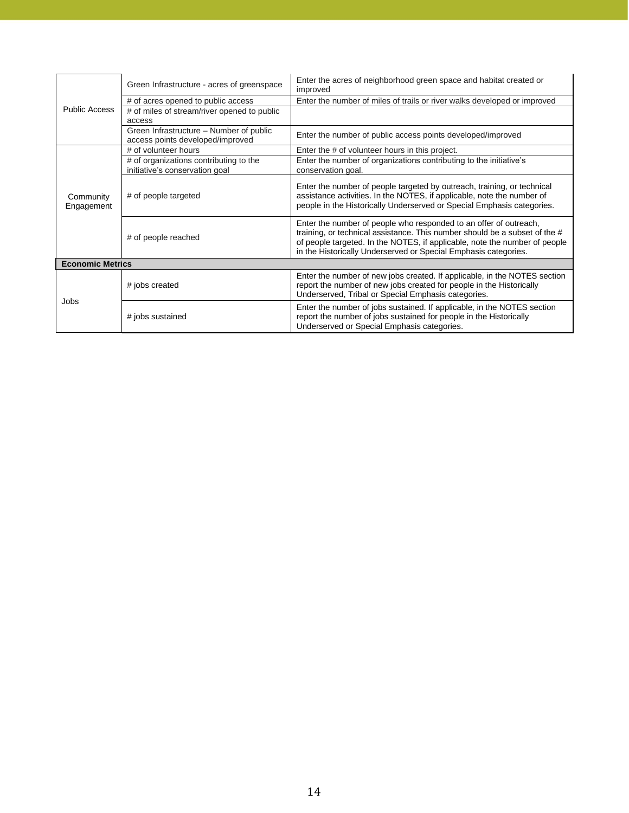|                          | Green Infrastructure - acres of greenspace                                  | Enter the acres of neighborhood green space and habitat created or<br>improved                                                                                                                                                                                                                   |
|--------------------------|-----------------------------------------------------------------------------|--------------------------------------------------------------------------------------------------------------------------------------------------------------------------------------------------------------------------------------------------------------------------------------------------|
|                          | # of acres opened to public access                                          | Enter the number of miles of trails or river walks developed or improved                                                                                                                                                                                                                         |
| <b>Public Access</b>     | # of miles of stream/river opened to public<br>access                       |                                                                                                                                                                                                                                                                                                  |
|                          | Green Infrastructure – Number of public<br>access points developed/improved | Enter the number of public access points developed/improved                                                                                                                                                                                                                                      |
|                          | # of volunteer hours                                                        | Enter the # of volunteer hours in this project.                                                                                                                                                                                                                                                  |
|                          | # of organizations contributing to the<br>initiative's conservation goal    | Enter the number of organizations contributing to the initiative's<br>conservation goal.                                                                                                                                                                                                         |
| Community<br>Engagement  | # of people targeted                                                        | Enter the number of people targeted by outreach, training, or technical<br>assistance activities. In the NOTES, if applicable, note the number of<br>people in the Historically Underserved or Special Emphasis categories.                                                                      |
| # of people reached      |                                                                             | Enter the number of people who responded to an offer of outreach,<br>training, or technical assistance. This number should be a subset of the #<br>of people targeted. In the NOTES, if applicable, note the number of people<br>in the Historically Underserved or Special Emphasis categories. |
| <b>Economic Metrics</b>  |                                                                             |                                                                                                                                                                                                                                                                                                  |
|                          | # jobs created                                                              | Enter the number of new jobs created. If applicable, in the NOTES section<br>report the number of new jobs created for people in the Historically<br>Underserved, Tribal or Special Emphasis categories.                                                                                         |
| Jobs<br># jobs sustained |                                                                             | Enter the number of jobs sustained. If applicable, in the NOTES section<br>report the number of jobs sustained for people in the Historically<br>Underserved or Special Emphasis categories.                                                                                                     |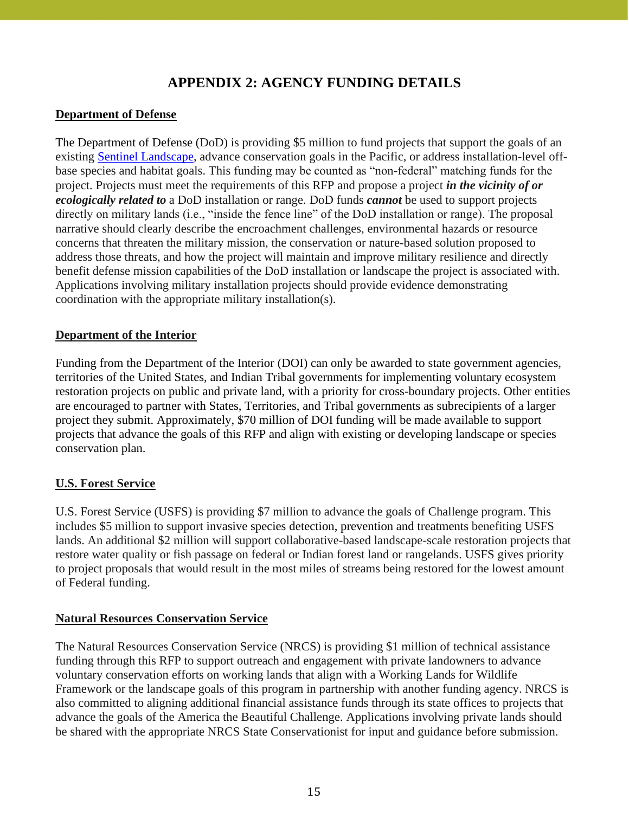# **APPENDIX 2: AGENCY FUNDING DETAILS**

## **Department of Defense**

The Department of Defense (DoD) is providing \$5 million to fund projects that support the goals of an existing [Sentinel Landscape,](https://sentinellandscapes.org/landscapes/) advance conservation goals in the Pacific, or address installation-level offbase species and habitat goals. This funding may be counted as "non-federal" matching funds for the project. Projects must meet the requirements of this RFP and propose a project *in the vicinity of or ecologically related to* a DoD installation or range. DoD funds *cannot* be used to support projects directly on military lands (i.e., "inside the fence line" of the DoD installation or range). The proposal narrative should clearly describe the encroachment challenges, environmental hazards or resource concerns that threaten the military mission, the conservation or nature-based solution proposed to address those threats, and how the project will maintain and improve military resilience and directly benefit defense mission capabilities of the DoD installation or landscape the project is associated with. Applications involving military installation projects should provide evidence demonstrating coordination with the appropriate military installation(s).

## **Department of the Interior**

Funding from the Department of the Interior (DOI) can only be awarded to state government agencies, territories of the United States, and Indian Tribal governments for implementing voluntary ecosystem restoration projects on public and private land, with a priority for cross-boundary projects. Other entities are encouraged to partner with States, Territories, and Tribal governments as subrecipients of a larger project they submit. Approximately, \$70 million of DOI funding will be made available to support projects that advance the goals of this RFP and align with existing or developing landscape or species conservation plan.

## **U.S. Forest Service**

U.S. Forest Service (USFS) is providing \$7 million to advance the goals of Challenge program. This includes \$5 million to support invasive species detection, prevention and treatments benefiting USFS lands. An additional \$2 million will support collaborative-based landscape-scale restoration projects that restore water quality or fish passage on federal or Indian forest land or rangelands. USFS gives priority to project proposals that would result in the most miles of streams being restored for the lowest amount of Federal funding.

## **Natural Resources Conservation Service**

The Natural Resources Conservation Service (NRCS) is providing \$1 million of technical assistance funding through this RFP to support outreach and engagement with private landowners to advance voluntary conservation efforts on working lands that align with a Working Lands for Wildlife Framework or the landscape goals of this program in partnership with another funding agency. NRCS is also committed to aligning additional financial assistance funds through its state offices to projects that advance the goals of the America the Beautiful Challenge. Applications involving private lands should be shared with the appropriate NRCS State Conservationist for input and guidance before submission.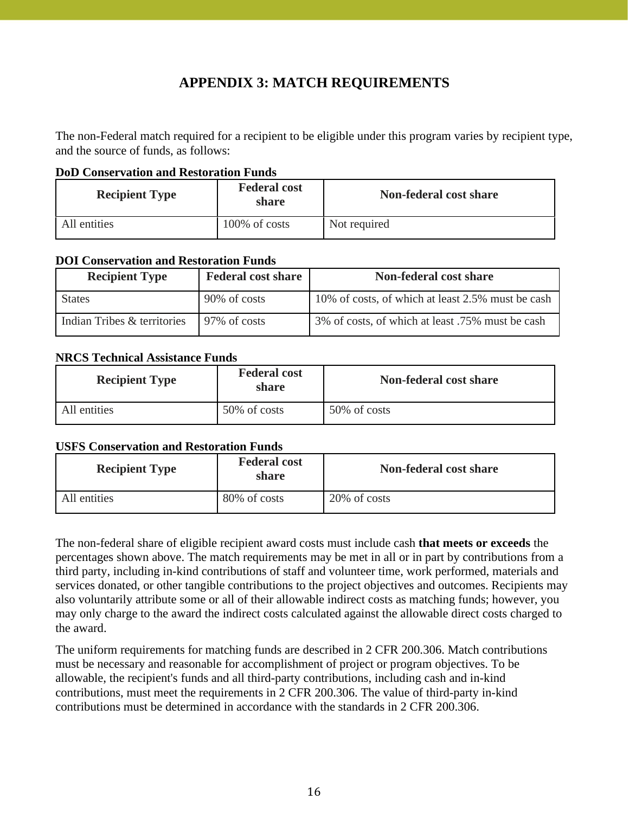# **APPENDIX 3: MATCH REQUIREMENTS**

The non-Federal match required for a recipient to be eligible under this program varies by recipient type, and the source of funds, as follows:

#### **DoD Conservation and Restoration Funds**

| <b>Federal cost</b><br><b>Recipient Type</b><br>share |               | Non-federal cost share |
|-------------------------------------------------------|---------------|------------------------|
| All entities                                          | 100% of costs | Not required           |

## **DOI Conservation and Restoration Funds**

| <b>Recipient Type</b>       | <b>Federal cost share</b> | Non-federal cost share                            |
|-----------------------------|---------------------------|---------------------------------------------------|
| <b>States</b>               | 90% of costs              | 10% of costs, of which at least 2.5% must be cash |
| Indian Tribes & territories | 97\% of costs             | 3% of costs, of which at least .75% must be cash  |

## **NRCS Technical Assistance Funds**

| <b>Recipient Type</b> | <b>Federal cost</b><br>share | Non-federal cost share |
|-----------------------|------------------------------|------------------------|
| All entities          | 50% of costs                 | 50% of costs           |

## **USFS Conservation and Restoration Funds**

| <b>Recipient Type</b> | <b>Federal cost</b><br>share | <b>Non-federal cost share</b> |
|-----------------------|------------------------------|-------------------------------|
| All entities          | 80% of costs                 | 20% of costs                  |

The non-federal share of eligible recipient award costs must include cash **that meets or exceeds** the percentages shown above. The match requirements may be met in all or in part by contributions from a third party, including in-kind contributions of staff and volunteer time, work performed, materials and services donated, or other tangible contributions to the project objectives and outcomes. Recipients may also voluntarily attribute some or all of their allowable indirect costs as matching funds; however, you may only charge to the award the indirect costs calculated against the allowable direct costs charged to the award.

The uniform requirements for matching funds are described in 2 CFR 200.306. Match contributions must be necessary and reasonable for accomplishment of project or program objectives. To be allowable, the recipient's funds and all third-party contributions, including cash and in-kind contributions, must meet the requirements in 2 CFR 200.306. The value of third-party in-kind contributions must be determined in accordance with the standards in 2 CFR 200.306.